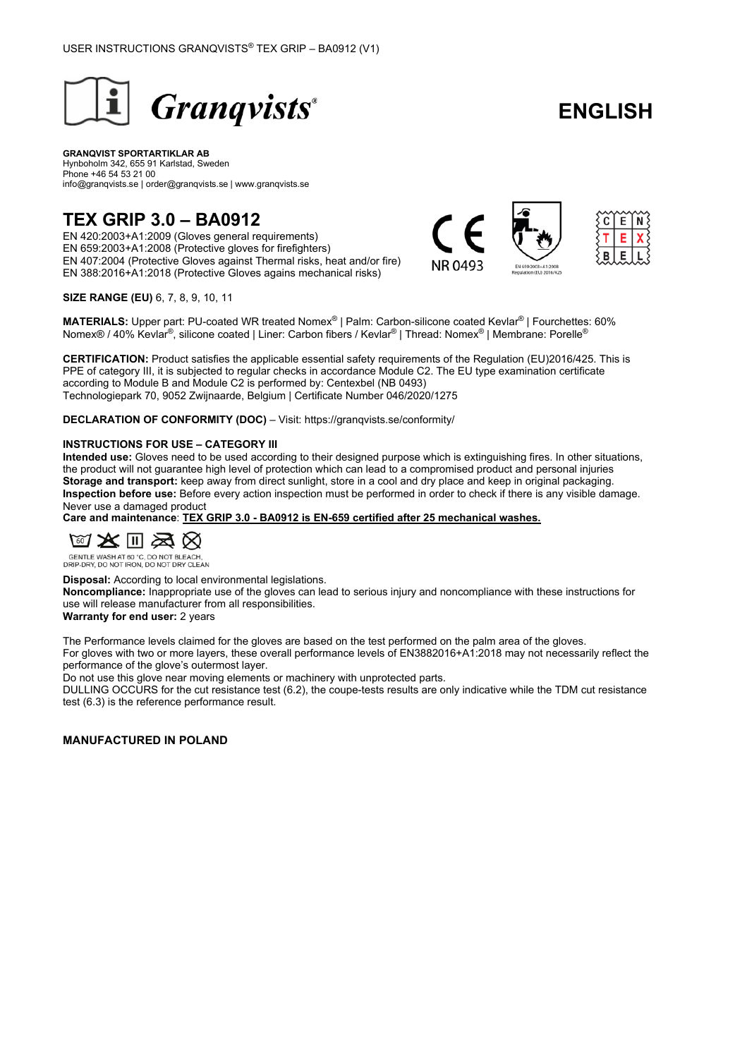

# **ENGLISH**

#### **GRANQVIST SPORTARTIKLAR AB** Hynboholm 342, 655 91 Karlstad, Sweden Phone +46 54 53 21 00 info@granqvists.se | order@granqvists.se | www.granqvists.se

## **TEX GRIP 3.0 – BA0912**

EN 420:2003+A1:2009 (Gloves general requirements) EN 659:2003+A1:2008 (Protective gloves for firefighters) EN 407:2004 (Protective Gloves against Thermal risks, heat and/or fire) EN 388:2016+A1:2018 (Protective Gloves agains mechanical risks)



**SIZE RANGE (EU)** 6, 7, 8, 9, 10, 11

**MATERIALS:** Upper part: PU-coated WR treated Nomex® | Palm: Carbon-silicone coated Kevlar® | Fourchettes: 60% Nomex® / 40% Kevlar®, silicone coated | Liner: Carbon fibers / Kevlar® | Thread: Nomex® | Membrane: Porelle®

**CERTIFICATION:** Product satisfies the applicable essential safety requirements of the Regulation (EU)2016/425. This is PPE of category III, it is subjected to regular checks in accordance Module C2. The EU type examination certificate according to Module B and Module C2 is performed by: Centexbel (NB 0493) Technologiepark 70, 9052 Zwijnaarde, Belgium | Certificate Number 046/2020/1275

**DECLARATION OF CONFORMITY (DOC)** – Visit: https://granqvists.se/conformity/

#### **INSTRUCTIONS FOR USE – CATEGORY III**

**Intended use:** Gloves need to be used according to their designed purpose which is extinguishing fires. In other situations, the product will not guarantee high level of protection which can lead to a compromised product and personal injuries **Storage and transport:** keep away from direct sunlight, store in a cool and dry place and keep in original packaging. **Inspection before use:** Before every action inspection must be performed in order to check if there is any visible damage. Never use a damaged product

**Care and maintenance**: **TEX GRIP 3.0 - BA0912 is EN-659 certified after 25 mechanical washes.**



GENTLE WASH AT 60 °C, DO NOT BLEACH,<br>DRIP-DRY, DO NOT IRON, DO NOT DRY CLEAN

**Disposal:** According to local environmental legislations.

**Noncompliance:** Inappropriate use of the gloves can lead to serious injury and noncompliance with these instructions for use will release manufacturer from all responsibilities.

**Warranty for end user:** 2 years

The Performance levels claimed for the gloves are based on the test performed on the palm area of the gloves. For gloves with two or more layers, these overall performance levels of EN3882016+A1:2018 may not necessarily reflect the performance of the glove's outermost layer.

Do not use this glove near moving elements or machinery with unprotected parts.

DULLING OCCURS for the cut resistance test (6.2), the coupe-tests results are only indicative while the TDM cut resistance test (6.3) is the reference performance result.

**MANUFACTURED IN POLAND**